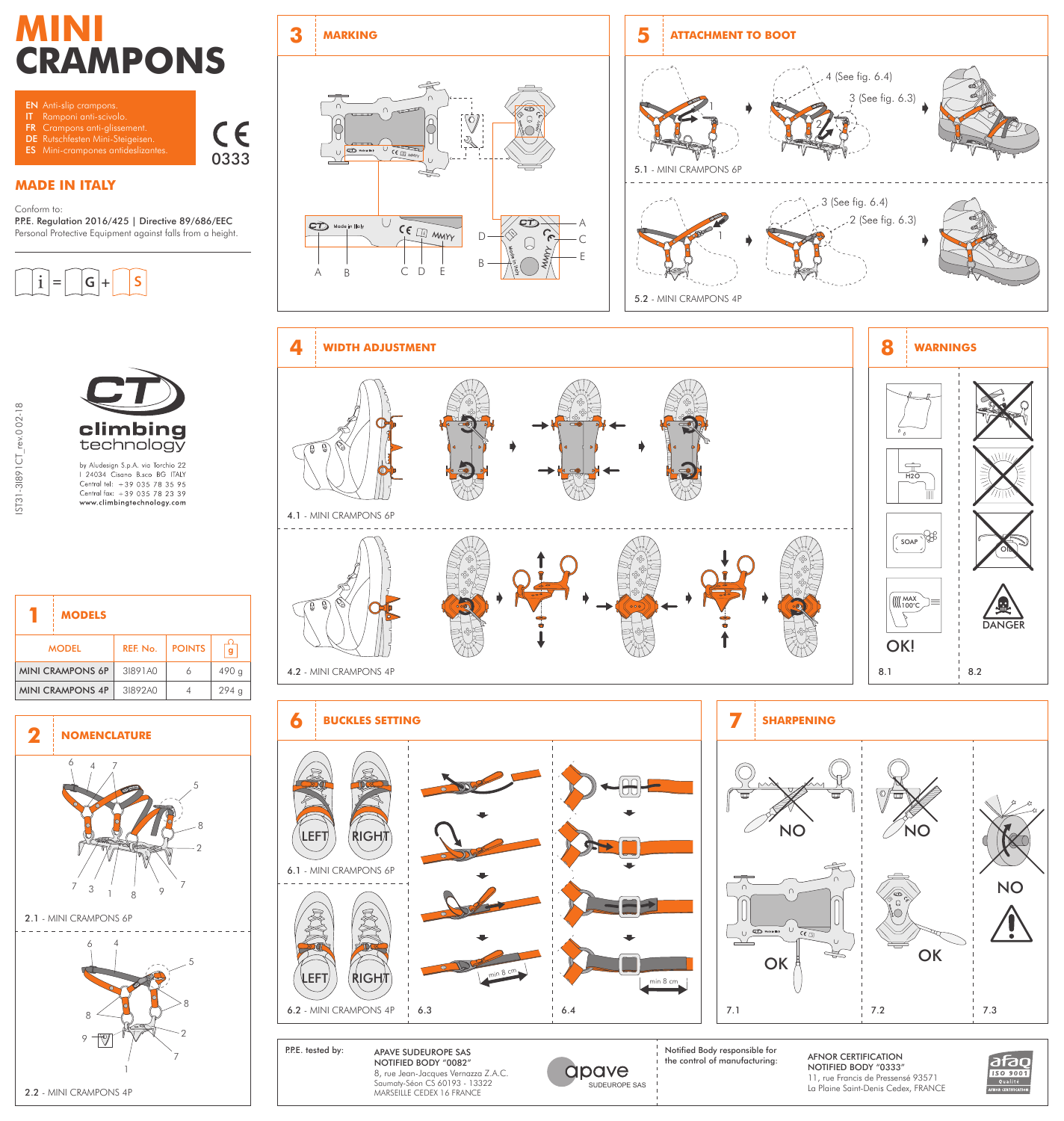# **MINI CRAMPONS**



**MADE IN ITALY**

Conform to:

P.P.E. Regulation 2016/425 | Directive 89/686/EEC Personal Protective Equipment against falls from a height.





|                         | <b>MODELS</b> |          |               |       |
|-------------------------|---------------|----------|---------------|-------|
| <b>MODEL</b>            |               | REF. No. | <b>POINTS</b> | g     |
| <b>MINI CRAMPONS 6P</b> |               | 31891A0  | 6             | 490 g |
| <b>MINI CRAMPONS 4P</b> |               | 31892A0  | 4             | 294 a |